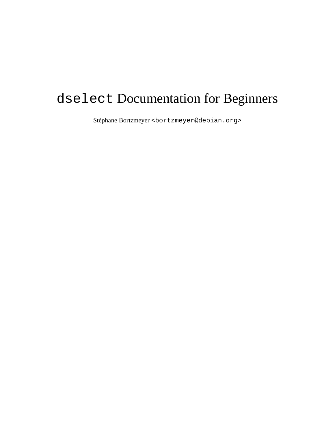# dselect Documentation for Beginners

Stéphane Bortzmeyer <bortzmeyer@debian.org>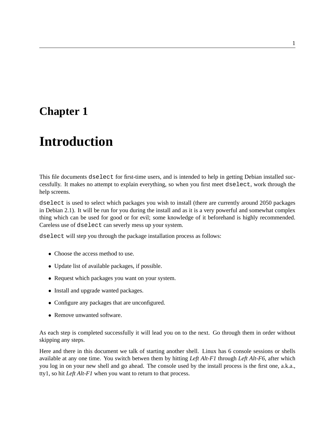# **Introduction**

This file documents dselect for first-time users, and is intended to help in getting Debian installed successfully. It makes no attempt to explain everything, so when you first meet dselect, work through the help screens.

dselect is used to select which packages you wish to install (there are currently around 2050 packages in Debian 2.1). It will be run for you during the install and as it is a very powerful and somewhat complex thing which can be used for good or for evil; some knowledge of it beforehand is highly recommended. Careless use of dselect can severly mess up your system.

dselect will step you through the package installation process as follows:

- Choose the access method to use.
- Update list of available packages, if possible.
- Request which packages you want on your system.
- Install and upgrade wanted packages.
- Configure any packages that are unconfigured.
- Remove unwanted software.

As each step is completed successfully it will lead you on to the next. Go through them in order without skipping any steps.

Here and there in this document we talk of starting another shell. Linux has 6 console sessions or shells available at any one time. You switch betwen them by hitting *Left Alt-F1* through *Left Alt-F6*, after which you log in on your new shell and go ahead. The console used by the install process is the first one, a.k.a., tty1, so hit *Left Alt-F1* when you want to return to that process.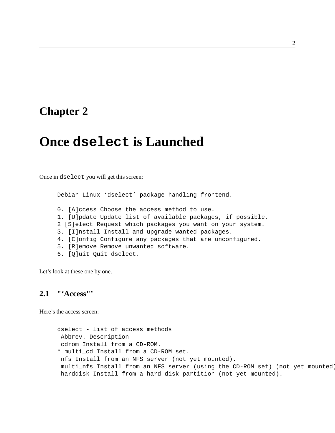## **Once dselect is Launched**

Once in dselect you will get this screen:

Debian Linux 'dselect' package handling frontend.

- 0. [A]ccess Choose the access method to use.
- 1. [U]pdate Update list of available packages, if possible.
- 2 [S]elect Request which packages you want on your system.
- 3. [I]nstall Install and upgrade wanted packages.
- 4. [C]onfig Configure any packages that are unconfigured.
- 5. [R]emove Remove unwanted software.
- 6. [Q]uit Quit dselect.

Let's look at these one by one.

#### **2.1 "'Access"'**

Here's the access screen:

```
dselect - list of access methods
Abbrev. Description
cdrom Install from a CD-ROM.
* multi_cd Install from a CD-ROM set.
nfs Install from an NFS server (not yet mounted).
multi_nfs Install from an NFS server (using the CD-ROM set) (not yet mounted).
harddisk Install from a hard disk partition (not yet mounted).
```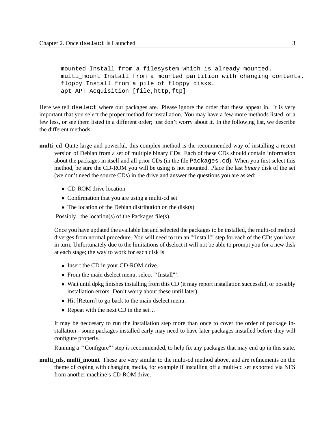```
mounted Install from a filesystem which is already mounted.
multi mount Install from a mounted partition with changing contents.
floppy Install from a pile of floppy disks.
apt APT Acquisition [file,http,ftp]
```
Here we tell dselect where our packages are. Please ignore the order that these appear in. It is very important that you select the proper method for installation. You may have a few more methods listed, or a few less, or see them listed in a different order; just don't worry about it. In the following list, we describe the different methods.

- **multi** cd Quite large and powerful, this complex method is the recommended way of installing a recent version of Debian from a set of multiple binary CDs. Each of these CDs should contain information about the packages in itself and all prior CDs (in the file Packages.cd). When you first select this method, be sure the CD-ROM you will be using is not mounted. Place the last *binary* disk of the set (we don't need the source CDs) in the drive and answer the questions you are asked:
	- CD-ROM drive location
	- Confirmation that you are using a multi-cd set
	- The location of the Debian distribution on the disk(s)

Possibly the location(s) of the Packages file(s)

Once you have updated the available list and selected the packages to be installed, the multi-cd method diverges from normal procedure. You will need to run an "'install"' step for each of the CDs you have in turn. Unfortunately due to the limitations of dselect it will not be able to prompt you for a new disk at each stage; the way to work for each disk is

- Insert the CD in your CD-ROM drive.
- From the main dselect menu, select "'Install"'.
- Wait until dpkg finishes installing from this CD (it may report installation successful, or possibly installation errors. Don't worry about these until later).
- Hit [Return] to go back to the main dselect menu.
- Repeat with the next CD in the set...

It may be neccesary to run the installation step more than once to cover the order of package installation - some packages installed early may need to have later packages installed before they will configure properly.

Running a "'Configure"' step is recommended, to help fix any packages that may end up in this state.

**multi\_nfs, multi\_mount** These are very similar to the multi-cd method above, and are refinements on the theme of coping with changing media, for example if installing off a multi-cd set exported via NFS from another machine's CD-ROM drive.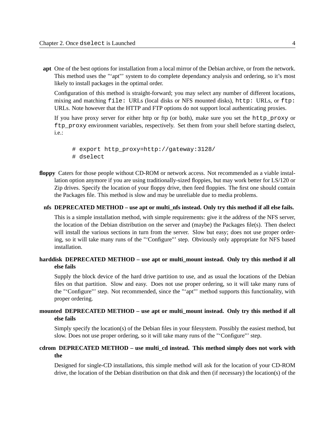**apt** One of the best options for installation from a local mirror of the Debian archive, or from the network. This method uses the "'apt"' system to do complete dependancy analysis and ordering, so it's most likely to install packages in the optimal order.

Configuration of this method is straight-forward; you may select any number of different locations, mixing and matching file: URLs (local disks or NFS mounted disks), http: URLs, or ftp: URLs. Note however that the HTTP and FTP options do not support local authenticating proxies.

If you have proxy server for either http or ftp (or both), make sure you set the http proxy or ftp\_proxy environment variables, respectively. Set them from your shell before starting dselect, i.e.:

- # export http\_proxy=http://gateway:3128/ # dselect
- **floppy** Caters for those people without CD-ROM or network access. Not recommended as a viable installation option anymore if you are using traditionally-sized floppies, but may work better for LS/120 or Zip drives. Specify the location of your floppy drive, then feed floppies. The first one should contain the Packages file. This method is slow and may be unreliable due to media problems.

#### **nfs DEPRECATED METHOD – use apt or multi\_nfs instead. Only try this method if all else fails.**

This is a simple installation method, with simple requirements: give it the address of the NFS server, the location of the Debian distribution on the server and (maybe) the Packages file(s). Then dselect will install the various sections in turn from the server. Slow but easy; does not use proper ordering, so it will take many runs of the "'Configure"' step. Obviously only appropriate for NFS based installation.

#### harddisk DEPRECATED METHOD – use apt or multi\_mount instead. Only try this method if all **else fails**

Supply the block device of the hard drive partition to use, and as usual the locations of the Debian files on that partition. Slow and easy. Does not use proper ordering, so it will take many runs of the "'Configure"' step. Not recommended, since the "'apt"' method supports this functionality, with proper ordering.

### **mounted DEPRECATED METHOD – use apt or multi\_mount instead. Only try this method if all else fails**

Simply specify the location(s) of the Debian files in your filesystem. Possibly the easiest method, but slow. Does not use proper ordering, so it will take many runs of the "'Configure"' step.

#### **cdrom DEPRECATED METHOD – use multi\_cd instead. This method simply does not work with the**

Designed for single-CD installations, this simple method will ask for the location of your CD-ROM drive, the location of the Debian distribution on that disk and then (if necessary) the location(s) of the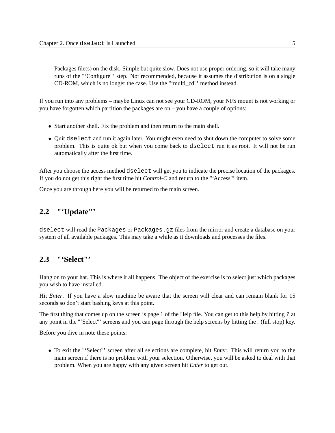<span id="page-5-0"></span>Packages file(s) on the disk. Simple but quite slow. Does not use proper ordering, so it will take many runs of the "'Configure"' step. Not recommended, because it assumes the distribution is on a single CD-ROM, which is no longer the case. Use the "'multi\_cd"' method instead.

If you run into any problems – maybe Linux can not see your CD-ROM, your NFS mount is not working or you have forgotten which partition the packages are on – you have a couple of options:

- Start another shell. Fix the problem and then return to the main shell.
- Quit dselect and run it again later. You might even need to shut down the computer to solve some problem. This is quite ok but when you come back to dselect run it as root. It will not be run automatically after the first time.

After you choose the access method dselect will get you to indicate the precise location of the packages. If you do not get this right the first time hit *Control-C* and return to the "'Access"' item.

Once you are through here you will be returned to the main screen.

### **2.2 "'Update"'**

dselect will read the Packages or Packages.gz files from the mirror and create a database on your system of all available packages. This may take a while as it downloads and processes the files.

## **2.3 "'Select"'**

Hang on to your hat. This is where it all happens. The object of the exercise is to select just which packages you wish to have installed.

Hit *Enter*. If you have a slow machine be aware that the screen will clear and can remain blank for 15 seconds so don't start bashing keys at this point.

The first thing that comes up on the screen is page 1 of the Help file. You can get to this help by hitting *?* at any point in the "'Select"' screens and you can page through the help screens by hitting the *.* (full stop) key.

Before you dive in note these points:

• To exit the "'Select"' screen after all selections are complete, hit *Enter*. This will return you to the main screen if there is no problem with your selection. Otherwise, you will be asked to deal with that problem. When you are happy with any given screen hit *Enter* to get out.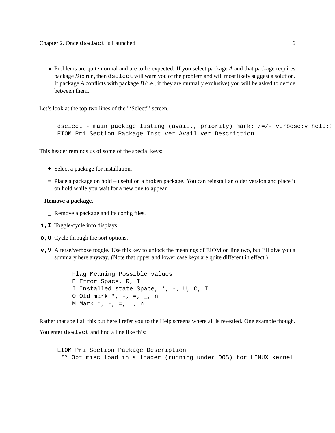• Problems are quite normal and are to be expected. If you select package *A* and that package requires package *B* to run, then dselect will warn you of the problem and will most likely suggest a solution. If package *A* conflicts with package *B* (i.e., if they are mutually exclusive) you will be asked to decide between them.

Let's look at the top two lines of the "'Select"' screen.

```
dselect - main package listing (avail., priority) mark:+/=/- verbose:v help:?
EIOM Pri Section Package Inst.ver Avail.ver Description
```
This header reminds us of some of the special keys:

- **+** Select a package for installation.
- **=** Place a package on hold useful on a broken package. You can reinstall an older version and place it on hold while you wait for a new one to appear.

#### **- Remove a package.**

- **\_** Remove a package and its config files.
- **i,I** Toggle/cycle info displays.
- **o,O** Cycle through the sort options.
- **v,V** A terse/verbose toggle. Use this key to unlock the meanings of EIOM on line two, but I'll give you a summary here anyway. (Note that upper and lower case keys are quite different in effect.)

Flag Meaning Possible values E Error Space, R, I I Installed state Space, \*, -, U, C, I 0 Old mark  $*, -, =, -, n$ M Mark  $*, -, =, -, n$ 

Rather that spell all this out here I refer you to the Help screens where all is revealed. One example though.

You enter dselect and find a line like this:

EIOM Pri Section Package Description \*\* Opt misc loadlin a loader (running under DOS) for LINUX kernel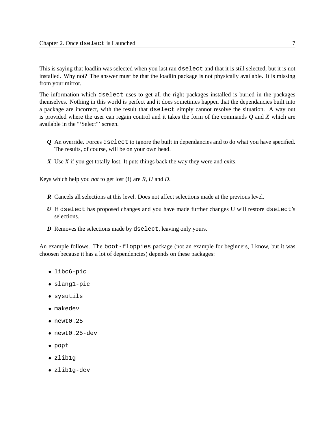This is saying that loadlin was selected when you last ran dselect and that it is still selected, but it is not installed. Why not? The answer must be that the loadlin package is not physically available. It is missing from your mirror.

The information which dselect uses to get all the right packages installed is buried in the packages themselves. Nothing in this world is perfect and it does sometimes happen that the dependancies built into a package are incorrect, with the result that dselect simply cannot resolve the situation. A way out is provided where the user can regain control and it takes the form of the commands *Q* and *X* which are available in the "'Select"' screen.

- *Q* An override. Forces dselect to ignore the built in dependancies and to do what you have specified. The results, of course, will be on your own head.
- *X* Use *X* if you get totally lost. It puts things back the way they were and exits.

Keys which help you *not* to get lost (!) are *R*, *U* and *D*.

- *R* Cancels all selections at this level. Does not affect selections made at the previous level.
- *U* If dselect has proposed changes and you have made further changes U will restore dselect's selections.
- *D* Removes the selections made by dselect, leaving only yours.

An example follows. The boot-floppies package (not an example for beginners, I know, but it was choosen because it has a lot of dependencies) depends on these packages:

- libc6-pic
- slang1-pic
- sysutils
- makedev
- $\bullet$  newt0.25
- newt0.25-dev
- popt
- zlib1g
- zlib1g-dev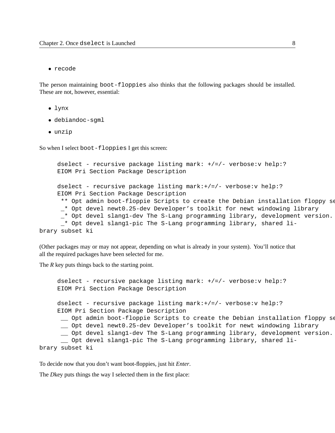• recode

The person maintaining boot-floppies also thinks that the following packages should be installed. These are not, however, essential:

- lynx
- debiandoc-sgml
- unzip

So when I select boot-floppies I get this screen:

```
dselect - recursive package listing mark: +/=/- verbose:v help:?
     EIOM Pri Section Package Description
     dselect - recursive package listing mark:+/=/- verbose:v help:?
     EIOM Pri Section Package Description
      ** Opt admin boot-floppie Scripts to create the Debian installation floppy se
      _* Opt devel newt0.25-dev Developer's toolkit for newt windowing library
      _* Opt devel slang1-dev The S-Lang programming library, development version.
      _* Opt devel slang1-pic The S-Lang programming library, shared li-
brary subset ki
```
(Other packages may or may not appear, depending on what is already in your system). You'll notice that all the required packages have been selected for me.

The *R* key puts things back to the starting point.

```
dselect - recursive package listing mark: +/=/- verbose:v help:?
     EIOM Pri Section Package Description
     dselect - recursive package listing mark:+/=/- verbose:v help:?
     EIOM Pri Section Package Description
      __ Opt admin boot-floppie Scripts to create the Debian installation floppy set.
      __ Opt devel newt0.25-dev Developer's toolkit for newt windowing library
      __ Opt devel slang1-dev The S-Lang programming library, development version.
       __ Opt devel slang1-pic The S-Lang programming library, shared li-
brary subset ki
```
To decide now that you don't want boot-floppies, just hit *Enter*.

The *D*key puts things the way I selected them in the first place: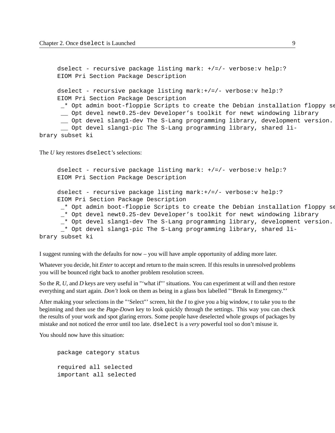```
dselect - recursive package listing mark: +/=/- verbose:v help:?
     EIOM Pri Section Package Description
     dselect - recursive package listing mark:+/=/- verbose: v help:?
     EIOM Pri Section Package Description
      * Opt admin boot-floppie Scripts to create the Debian installation floppy set.
      __ Opt devel newt0.25-dev Developer's toolkit for newt windowing library
      __ Opt devel slang1-dev The S-Lang programming library, development version.
      __ Opt devel slang1-pic The S-Lang programming library, shared li-
brary subset ki
```
The *U* key restores dselect's selections:

```
dselect - recursive package listing mark: +/-/- verbose: v help:?
     EIOM Pri Section Package Description
     dselect - recursive package listing mark:+/=/- verbose:v help:?
     EIOM Pri Section Package Description
      * Opt admin boot-floppie Scripts to create the Debian installation floppy set.
      _* Opt devel newt0.25-dev Developer's toolkit for newt windowing library
      _* Opt devel slang1-dev The S-Lang programming library, development version.
      _* Opt devel slang1-pic The S-Lang programming library, shared li-
brary subset ki
```
I suggest running with the defaults for now – you will have ample opportunity of adding more later.

Whatever you decide, hit *Enter* to accept and return to the main screen. If this results in unresolved problems you will be bounced right back to another problem resolution screen.

So the *R*, *U*, and *D* keys are very useful in "'what if"' situations. You can experiment at will and then restore everything and start again. *Don't* look on them as being in a glass box labelled "'Break In Emergency."'

After making your selections in the "'Select"' screen, hit the *I* to give you a big window, *t* to take you to the beginning and then use the *Page-Down* key to look quickly through the settings. This way you can check the results of your work and spot glaring errors. Some people have deselected whole groups of packages by mistake and not noticed the error until too late. dselect is a *very* powerful tool so don't misuse it.

You should now have this situation:

package category status required all selected important all selected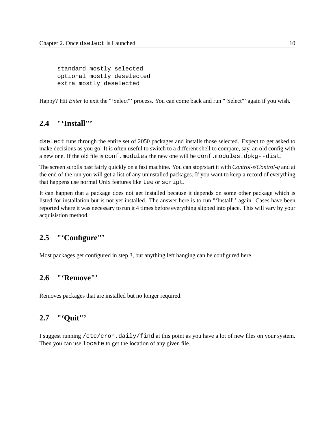standard mostly selected optional mostly deselected extra mostly deselected

Happy? Hit *Enter* to exit the "'Select"' process. You can come back and run "'Select"' again if you wish.

### **2.4 "'Install"'**

dselect runs through the entire set of 2050 packages and installs those selected. Expect to get asked to make decisions as you go. It is often useful to switch to a different shell to compare, say, an old config with a new one. If the old file is conf.modules the new one will be conf.modules.dpkg--dist.

The screen scrolls past fairly quickly on a fast machine. You can stop/start it with *Control-s*/*Control-q* and at the end of the run you will get a list of any uninstalled packages. If you want to keep a record of everything that happens use normal Unix features like tee or script.

It can happen that a package does not get installed because it depends on some other package which is listed for installation but is not yet installed. The answer here is to run "'Install"' again. Cases have been reported where it was necessary to run it 4 times before everything slipped into place. This will vary by your acquisistion method.

### **2.5 "'Configure"'**

Most packages get configured in step 3, but anything left hanging can be configured here.

## **2.6 "'Remove"'**

Removes packages that are installed but no longer required.

### **2.7 "'Quit"'**

I suggest running /etc/cron.daily/find at this point as you have a lot of new files on your system. Then you can use locate to get the location of any given file.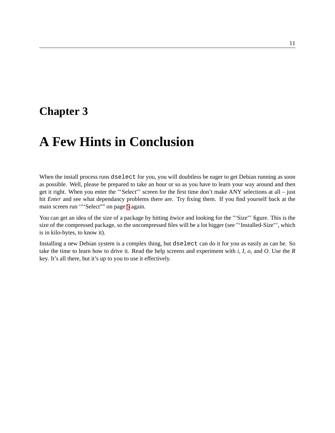# **A Few Hints in Conclusion**

When the install process runs dselect for you, you will doubtless be eager to get Debian running as soon as possible. Well, please be prepared to take an hour or so as you have to learn your way around and then get it right. When you enter the "'Select"' screen for the first time don't make ANY selections at all – just hit *Enter* and see what dependancy problems there are. Try fixing them. If you find yourself back at the main screen run '"'Select"" on page [5](#page-5-0) again.

You can get an idea of the size of a package by hitting *i*twice and looking for the "'Size"' figure. This is the size of the compressed package, so the uncompressed files will be a lot bigger (see "'Installed-Size"', which is in kilo-bytes, to know it).

Installing a new Debian system is a complex thing, but dselect can do it for you as easily as can be. So take the time to learn how to drive it. Read the help screens and experiment with *i, I, o,* and *O*. Use the *R* key. It's all there, but it's up to you to use it effectively.